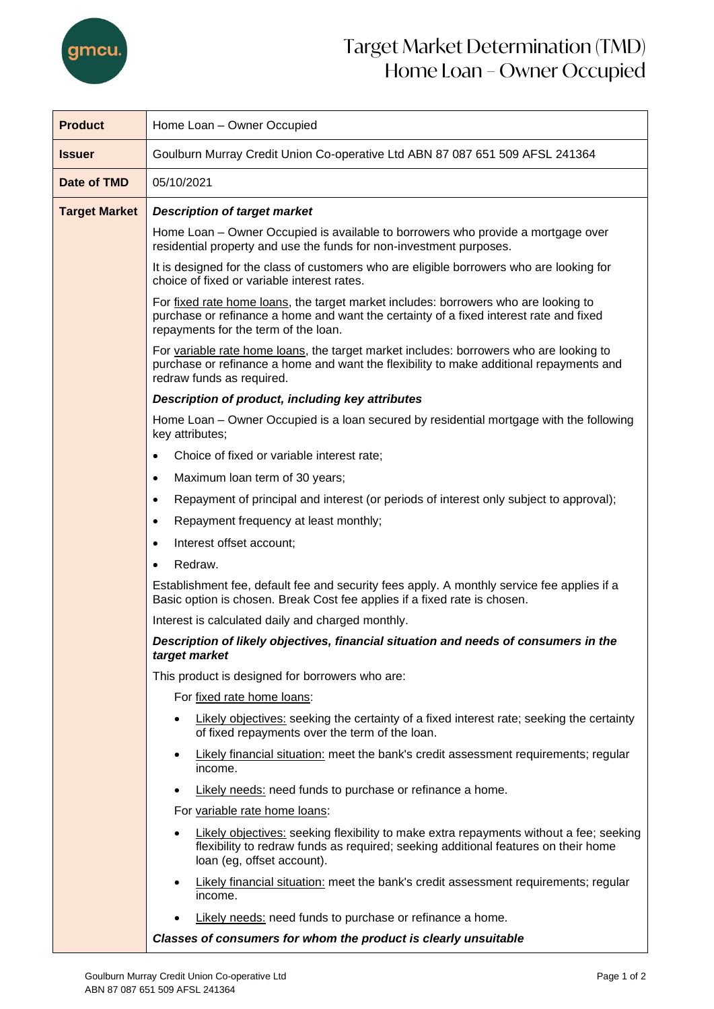

## Target Market Determination (TMD) Home Loan – Owner Occupied

| <b>Product</b>       | Home Loan - Owner Occupied                                                                                                                                                                                            |  |  |  |
|----------------------|-----------------------------------------------------------------------------------------------------------------------------------------------------------------------------------------------------------------------|--|--|--|
| <b>Issuer</b>        | Goulburn Murray Credit Union Co-operative Ltd ABN 87 087 651 509 AFSL 241364                                                                                                                                          |  |  |  |
| Date of TMD          | 05/10/2021                                                                                                                                                                                                            |  |  |  |
| <b>Target Market</b> | <b>Description of target market</b>                                                                                                                                                                                   |  |  |  |
|                      | Home Loan – Owner Occupied is available to borrowers who provide a mortgage over<br>residential property and use the funds for non-investment purposes.                                                               |  |  |  |
|                      | It is designed for the class of customers who are eligible borrowers who are looking for<br>choice of fixed or variable interest rates.                                                                               |  |  |  |
|                      | For fixed rate home loans, the target market includes: borrowers who are looking to<br>purchase or refinance a home and want the certainty of a fixed interest rate and fixed<br>repayments for the term of the loan. |  |  |  |
|                      | For variable rate home loans, the target market includes: borrowers who are looking to<br>purchase or refinance a home and want the flexibility to make additional repayments and<br>redraw funds as required.        |  |  |  |
|                      | Description of product, including key attributes                                                                                                                                                                      |  |  |  |
|                      | Home Loan – Owner Occupied is a loan secured by residential mortgage with the following<br>key attributes;                                                                                                            |  |  |  |
|                      | Choice of fixed or variable interest rate;<br>$\bullet$                                                                                                                                                               |  |  |  |
|                      | Maximum loan term of 30 years;<br>٠                                                                                                                                                                                   |  |  |  |
|                      | Repayment of principal and interest (or periods of interest only subject to approval);<br>٠                                                                                                                           |  |  |  |
|                      | Repayment frequency at least monthly;<br>٠                                                                                                                                                                            |  |  |  |
|                      | Interest offset account;<br>$\bullet$                                                                                                                                                                                 |  |  |  |
|                      | Redraw.                                                                                                                                                                                                               |  |  |  |
|                      | Establishment fee, default fee and security fees apply. A monthly service fee applies if a<br>Basic option is chosen. Break Cost fee applies if a fixed rate is chosen.                                               |  |  |  |
|                      | Interest is calculated daily and charged monthly.                                                                                                                                                                     |  |  |  |
|                      | Description of likely objectives, financial situation and needs of consumers in the<br>target market                                                                                                                  |  |  |  |
|                      | This product is designed for borrowers who are:                                                                                                                                                                       |  |  |  |
|                      | For fixed rate home loans:                                                                                                                                                                                            |  |  |  |
|                      | Likely objectives: seeking the certainty of a fixed interest rate; seeking the certainty<br>of fixed repayments over the term of the loan.                                                                            |  |  |  |
|                      | <b>Likely financial situation:</b> meet the bank's credit assessment requirements; regular<br>income.                                                                                                                 |  |  |  |
|                      | Likely needs: need funds to purchase or refinance a home.                                                                                                                                                             |  |  |  |
|                      | For variable rate home loans:                                                                                                                                                                                         |  |  |  |
|                      | Likely objectives: seeking flexibility to make extra repayments without a fee; seeking<br>flexibility to redraw funds as required; seeking additional features on their home<br>loan (eg, offset account).            |  |  |  |
|                      | Likely financial situation: meet the bank's credit assessment requirements; regular<br>income.                                                                                                                        |  |  |  |
|                      | Likely needs: need funds to purchase or refinance a home.                                                                                                                                                             |  |  |  |
|                      | Classes of consumers for whom the product is clearly unsuitable                                                                                                                                                       |  |  |  |